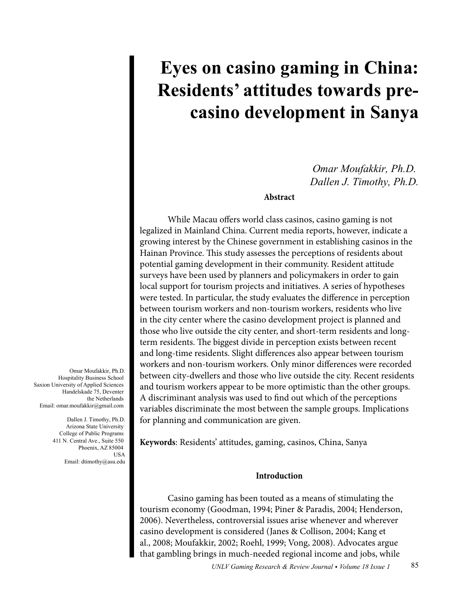# **Eyes on casino gaming in China: Residents' attitudes towards precasino development in Sanya**

*Omar Moufakkir, Ph.D. Dallen J. Timothy, Ph.D.*

## **Abstract**

While Macau offers world class casinos, casino gaming is not legalized in Mainland China. Current media reports, however, indicate a growing interest by the Chinese government in establishing casinos in the Hainan Province. This study assesses the perceptions of residents about potential gaming development in their community. Resident attitude surveys have been used by planners and policymakers in order to gain local support for tourism projects and initiatives. A series of hypotheses were tested. In particular, the study evaluates the difference in perception between tourism workers and non-tourism workers, residents who live in the city center where the casino development project is planned and those who live outside the city center, and short-term residents and longterm residents. The biggest divide in perception exists between recent and long-time residents. Slight differences also appear between tourism workers and non-tourism workers. Only minor differences were recorded between city-dwellers and those who live outside the city. Recent residents and tourism workers appear to be more optimistic than the other groups. A discriminant analysis was used to find out which of the perceptions variables discriminate the most between the sample groups. Implications for planning and communication are given.

**Keywords**: Residents' attitudes, gaming, casinos, China, Sanya

## **Introduction**

Casino gaming has been touted as a means of stimulating the tourism economy (Goodman, 1994; Piner & Paradis, 2004; Henderson, 2006). Nevertheless, controversial issues arise whenever and wherever casino development is considered (Janes & Collison, 2004; Kang et al., 2008; Moufakkir, 2002; Roehl, 1999; Vong, 2008). Advocates argue that gambling brings in much-needed regional income and jobs, while

Omar Moufakkir, Ph.D. Hospitality Business School Saxion University of Applied Sciences Handelskade 75, Deventer the Netherlands Email: omar.moufakkir@gmail.com

> Dallen J. Timothy, Ph.D. Arizona State University College of Public Programs 411 N. Central Ave., Suite 550 Phoenix, AZ 85004 **IISA** Email: dtimothy@asu.edu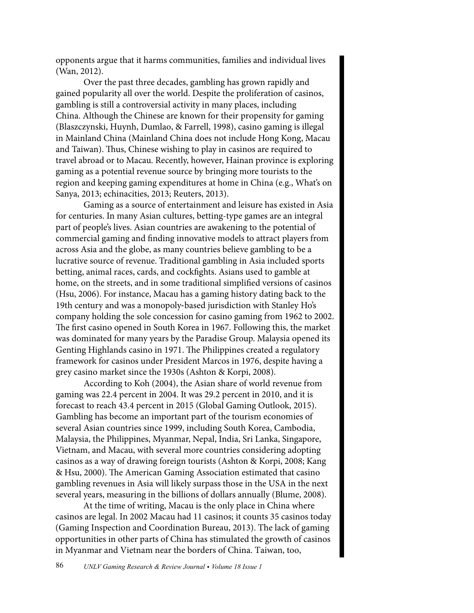opponents argue that it harms communities, families and individual lives (Wan, 2012).

Over the past three decades, gambling has grown rapidly and gained popularity all over the world. Despite the proliferation of casinos, gambling is still a controversial activity in many places, including China. Although the Chinese are known for their propensity for gaming (Blaszczynski, Huynh, Dumlao, & Farrell, 1998), casino gaming is illegal in Mainland China (Mainland China does not include Hong Kong, Macau and Taiwan). Thus, Chinese wishing to play in casinos are required to travel abroad or to Macau. Recently, however, Hainan province is exploring gaming as a potential revenue source by bringing more tourists to the region and keeping gaming expenditures at home in China (e.g., What's on Sanya, 2013; echinacities, 2013; Reuters, 2013).

Gaming as a source of entertainment and leisure has existed in Asia for centuries. In many Asian cultures, betting-type games are an integral part of people's lives. Asian countries are awakening to the potential of commercial gaming and finding innovative models to attract players from across Asia and the globe, as many countries believe gambling to be a lucrative source of revenue. Traditional gambling in Asia included sports betting, animal races, cards, and cockfights. Asians used to gamble at home, on the streets, and in some traditional simplified versions of casinos (Hsu, 2006). For instance, Macau has a gaming history dating back to the 19th century and was a monopoly-based jurisdiction with Stanley Ho's company holding the sole concession for casino gaming from 1962 to 2002. The first casino opened in South Korea in 1967. Following this, the market was dominated for many years by the Paradise Group. Malaysia opened its Genting Highlands casino in 1971. The Philippines created a regulatory framework for casinos under President Marcos in 1976, despite having a grey casino market since the 1930s (Ashton & Korpi, 2008).

According to Koh (2004), the Asian share of world revenue from gaming was 22.4 percent in 2004. It was 29.2 percent in 2010, and it is forecast to reach 43.4 percent in 2015 (Global Gaming Outlook, 2015). Gambling has become an important part of the tourism economies of several Asian countries since 1999, including South Korea, Cambodia, Malaysia, the Philippines, Myanmar, Nepal, India, Sri Lanka, Singapore, Vietnam, and Macau, with several more countries considering adopting casinos as a way of drawing foreign tourists (Ashton & Korpi, 2008; Kang & Hsu, 2000). The American Gaming Association estimated that casino gambling revenues in Asia will likely surpass those in the USA in the next several years, measuring in the billions of dollars annually (Blume, 2008).

At the time of writing, Macau is the only place in China where casinos are legal. In 2002 Macau had 11 casinos; it counts 35 casinos today (Gaming Inspection and Coordination Bureau, 2013). The lack of gaming opportunities in other parts of China has stimulated the growth of casinos in Myanmar and Vietnam near the borders of China. Taiwan, too,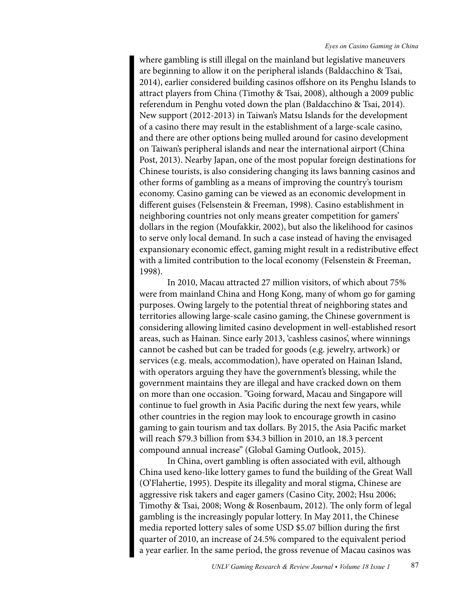where gambling is still illegal on the mainland but legislative maneuvers are beginning to allow it on the peripheral islands (Baldacchino & Tsai, 2014), earlier considered building casinos offshore on its Penghu Islands to attract players from China (Timothy & Tsai, 2008), although a 2009 public referendum in Penghu voted down the plan (Baldacchino & Tsai, 2014). New support (2012-2013) in Taiwan's Matsu Islands for the development of a casino there may result in the establishment of a large-scale casino, and there are other options being mulled around for casino development on Taiwan's peripheral islands and near the international airport (China Post, 2013). Nearby Japan, one of the most popular foreign destinations for Chinese tourists, is also considering changing its laws banning casinos and other forms of gambling as a means of improving the country's tourism economy. Casino gaming can be viewed as an economic development in different guises (Felsenstein & Freeman, 1998). Casino establishment in neighboring countries not only means greater competition for gamers' dollars in the region (Moufakkir, 2002), but also the likelihood for casinos to serve only local demand. In such a case instead of having the envisaged expansionary economic effect, gaming might result in a redistributive effect with a limited contribution to the local economy (Felsenstein & Freeman, 1998).

In 2010, Macau attracted 27 million visitors, of which about 75% were from mainland China and Hong Kong, many of whom go for gaming purposes. Owing largely to the potential threat of neighboring states and territories allowing large-scale casino gaming, the Chinese government is considering allowing limited casino development in well-established resort areas, such as Hainan. Since early 2013, 'cashless casinos', where winnings cannot be cashed but can be traded for goods (e.g. jewelry, artwork) or services (e.g. meals, accommodation), have operated on Hainan Island, with operators arguing they have the government's blessing, while the government maintains they are illegal and have cracked down on them on more than one occasion. "Going forward, Macau and Singapore will continue to fuel growth in Asia Pacific during the next few years, while other countries in the region may look to encourage growth in casino gaming to gain tourism and tax dollars. By 2015, the Asia Pacific market will reach \$79.3 billion from \$34.3 billion in 2010, an 18.3 percent compound annual increase" (Global Gaming Outlook, 2015).

In China, overt gambling is often associated with evil, although China used keno-like lottery games to fund the building of the Great Wall (O'Flahertie, 1995). Despite its illegality and moral stigma, Chinese are aggressive risk takers and eager gamers (Casino City, 2002; Hsu 2006; Timothy & Tsai, 2008; Wong & Rosenbaum, 2012). The only form of legal gambling is the increasingly popular lottery. In May 2011, the Chinese media reported lottery sales of some USD \$5.07 billion during the first quarter of 2010, an increase of 24.5% compared to the equivalent period a year earlier. In the same period, the gross revenue of Macau casinos was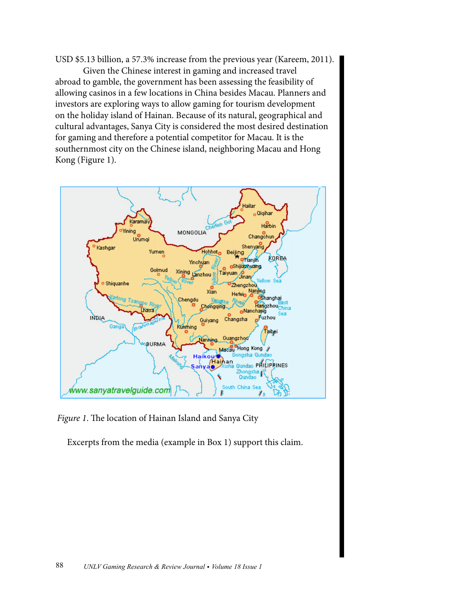USD \$5.13 billion, a 57.3% increase from the previous year (Kareem, 2011).

Given the Chinese interest in gaming and increased travel abroad to gamble, the government has been assessing the feasibility of allowing casinos in a few locations in China besides Macau. Planners and investors are exploring ways to allow gaming for tourism development on the holiday island of Hainan. Because of its natural, geographical and cultural advantages, Sanya City is considered the most desired destination for gaming and therefore a potential competitor for Macau. It is the southernmost city on the Chinese island, neighboring Macau and Hong Kong (Figure 1).



*Figure 1*. The location of Hainan Island and Sanya City

Excerpts from the media (example in Box 1) support this claim.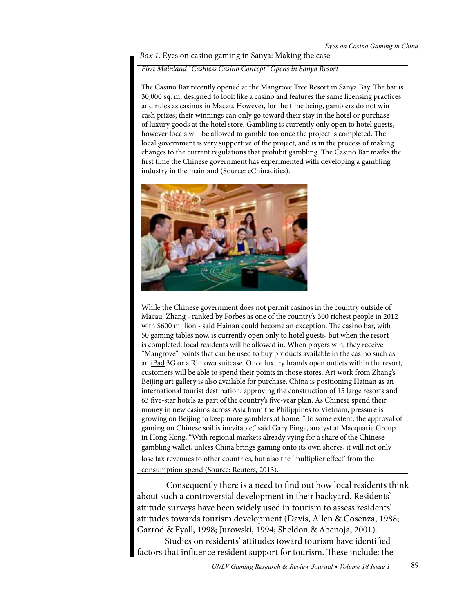## *Box 1.* Eyes on casino gaming in Sanya: Making the case

# *First Mainland "Cashless Casino Concept" Opens in Sanya Resort*

The Casino Bar recently opened at the Mangrove Tree Resort in Sanya Bay. The bar is 30,000 sq. m, designed to look like a casino and features the same licensing practices and rules as casinos in Macau. However, for the time being, gamblers do not win cash prizes; their winnings can only go toward their stay in the hotel or purchase of luxury goods at the hotel store. Gambling is currently only open to hotel guests, however locals will be allowed to gamble too once the project is completed. The local government is very supportive of the project, and is in the process of making changes to the current regulations that prohibit gambling. The Casino Bar marks the first time the Chinese government has experimented with developing a gambling industry in the mainland (Source: eChinacities).



While the Chinese government does not permit casinos in the country outside of Macau, Zhang - ranked by Forbes as one of the country's 300 richest people in 2012 with \$600 million - said Hainan could become an exception. The casino bar, with 50 gaming tables now, is currently open only to hotel guests, but when the resort is completed, local residents will be allowed in. When players win, they receive "[Mangr](http://www.reuters.com/subjects/ipad)ove" points that can be used to buy products available in the casino such as an iPad 3G or a Rimowa suitcase. Once luxury brands open outlets within the resort, customers will be able to spend their points in those stores. Art work from Zhang's Beijing art gallery is also available for purchase. China is positioning Hainan as an international tourist destination, approving the construction of 15 large resorts and 63 five-star hotels as part of the country's five-year plan. As Chinese spend their money in new casinos across Asia from the Philippines to Vietnam, pressure is growing on Beijing to keep more gamblers at home. "To some extent, the approval of gaming on Chinese soil is inevitable," said Gary Pinge, analyst at Macquarie Group in Hong Kong. "With regional markets already vying for a share of the Chinese gambling wallet, unless China brings gaming onto its own shores, it will not only lose tax revenues to other countries, but also the 'multiplier effect' from the consumption spend (Source: Reuters, 2013).

Consequently there is a need to find out how local residents think about such a controversial development in their backyard. Residents' attitude surveys have been widely used in tourism to assess residents' attitudes towards tourism development (Davis, Allen & Cosenza, 1988; Garrod & Fyall, 1998; Jurowski, 1994; Sheldon & Abenoja, 2001).

Studies on residents' attitudes toward tourism have identified factors that influence resident support for tourism. These include: the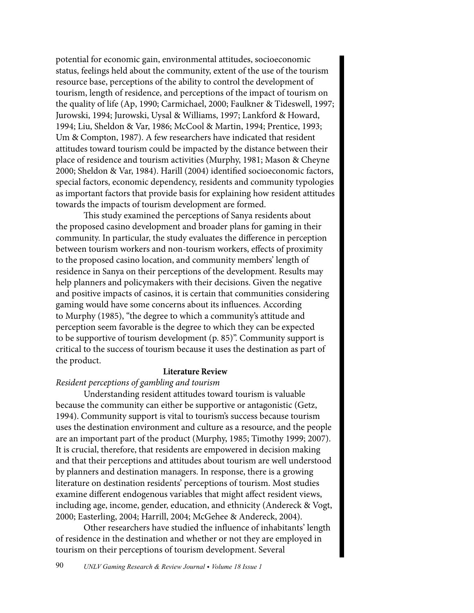potential for economic gain, environmental attitudes, socioeconomic status, feelings held about the community, extent of the use of the tourism resource base, perceptions of the ability to control the development of tourism, length of residence, and perceptions of the impact of tourism on the quality of life (Ap, 1990; Carmichael, 2000; Faulkner & Tideswell, 1997; Jurowski, 1994; Jurowski, Uysal & Williams, 1997; Lankford & Howard, 1994; Liu, Sheldon & Var, 1986; McCool & Martin, 1994; Prentice, 1993; Um & Compton, 1987). A few researchers have indicated that resident attitudes toward tourism could be impacted by the distance between their place of residence and tourism activities (Murphy, 1981; Mason & Cheyne 2000; Sheldon & Var, 1984). Harill (2004) identified socioeconomic factors, special factors, economic dependency, residents and community typologies as important factors that provide basis for explaining how resident attitudes towards the impacts of tourism development are formed.

This study examined the perceptions of Sanya residents about the proposed casino development and broader plans for gaming in their community. In particular, the study evaluates the difference in perception between tourism workers and non-tourism workers, effects of proximity to the proposed casino location, and community members' length of residence in Sanya on their perceptions of the development. Results may help planners and policymakers with their decisions. Given the negative and positive impacts of casinos, it is certain that communities considering gaming would have some concerns about its influences. According to Murphy (1985), "the degree to which a community's attitude and perception seem favorable is the degree to which they can be expected to be supportive of tourism development (p. 85)". Community support is critical to the success of tourism because it uses the destination as part of the product.

## **Literature Review**

## *Resident perceptions of gambling and tourism*

Understanding resident attitudes toward tourism is valuable because the community can either be supportive or antagonistic (Getz, 1994). Community support is vital to tourism's success because tourism uses the destination environment and culture as a resource, and the people are an important part of the product (Murphy, 1985; Timothy 1999; 2007). It is crucial, therefore, that residents are empowered in decision making and that their perceptions and attitudes about tourism are well understood by planners and destination managers. In response, there is a growing literature on destination residents' perceptions of tourism. Most studies examine different endogenous variables that might affect resident views, including age, income, gender, education, and ethnicity (Andereck & Vogt, 2000; Easterling, 2004; Harrill, 2004; McGehee & Andereck, 2004).

Other researchers have studied the influence of inhabitants' length of residence in the destination and whether or not they are employed in tourism on their perceptions of tourism development. Several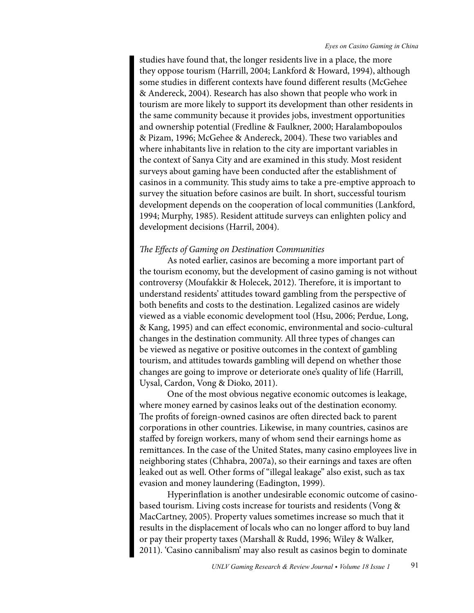studies have found that, the longer residents live in a place, the more they oppose tourism (Harrill, 2004; Lankford & Howard, 1994), although some studies in different contexts have found different results (McGehee & Andereck, 2004). Research has also shown that people who work in tourism are more likely to support its development than other residents in the same community because it provides jobs, investment opportunities and ownership potential (Fredline & Faulkner, 2000; Haralambopoulos & Pizam, 1996; McGehee & Andereck, 2004). These two variables and where inhabitants live in relation to the city are important variables in the context of Sanya City and are examined in this study. Most resident surveys about gaming have been conducted after the establishment of casinos in a community. This study aims to take a pre-emptive approach to survey the situation before casinos are built. In short, successful tourism development depends on the cooperation of local communities (Lankford, 1994; Murphy, 1985). Resident attitude surveys can enlighten policy and development decisions (Harril, 2004).

## *The Effects of Gaming on Destination Communities*

As noted earlier, casinos are becoming a more important part of the tourism economy, but the development of casino gaming is not without controversy (Moufakkir & Holecek, 2012). Therefore, it is important to understand residents' attitudes toward gambling from the perspective of both benefits and costs to the destination. Legalized casinos are widely viewed as a viable economic development tool (Hsu, 2006; Perdue, Long, & Kang, 1995) and can effect economic, environmental and socio-cultural changes in the destination community. All three types of changes can be viewed as negative or positive outcomes in the context of gambling tourism, and attitudes towards gambling will depend on whether those changes are going to improve or deteriorate one's quality of life (Harrill, Uysal, Cardon, Vong & Dioko, 2011).

One of the most obvious negative economic outcomes is leakage, where money earned by casinos leaks out of the destination economy. The profits of foreign-owned casinos are often directed back to parent corporations in other countries. Likewise, in many countries, casinos are staffed by foreign workers, many of whom send their earnings home as remittances. In the case of the United States, many casino employees live in neighboring states (Chhabra, 2007a), so their earnings and taxes are often leaked out as well. Other forms of "illegal leakage" also exist, such as tax evasion and money laundering (Eadington, 1999).

Hyperinflation is another undesirable economic outcome of casinobased tourism. Living costs increase for tourists and residents (Vong & MacCartney, 2005). Property values sometimes increase so much that it results in the displacement of locals who can no longer afford to buy land or pay their property taxes (Marshall & Rudd, 1996; Wiley & Walker, 2011). 'Casino cannibalism' may also result as casinos begin to dominate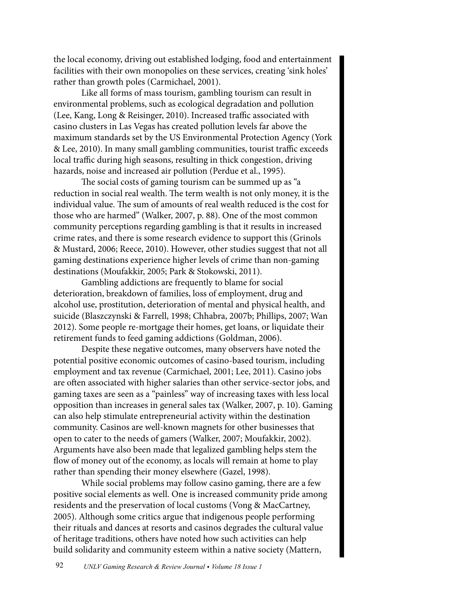the local economy, driving out established lodging, food and entertainment facilities with their own monopolies on these services, creating 'sink holes' rather than growth poles (Carmichael, 2001).

Like all forms of mass tourism, gambling tourism can result in environmental problems, such as ecological degradation and pollution (Lee, Kang, Long & Reisinger, 2010). Increased traffic associated with casino clusters in Las Vegas has created pollution levels far above the maximum standards set by the US Environmental Protection Agency (York & Lee, 2010). In many small gambling communities, tourist traffic exceeds local traffic during high seasons, resulting in thick congestion, driving hazards, noise and increased air pollution (Perdue et al., 1995).

The social costs of gaming tourism can be summed up as "a reduction in social real wealth. The term wealth is not only money, it is the individual value. The sum of amounts of real wealth reduced is the cost for those who are harmed" (Walker, 2007, p. 88). One of the most common community perceptions regarding gambling is that it results in increased crime rates, and there is some research evidence to support this (Grinols & Mustard, 2006; Reece, 2010). However, other studies suggest that not all gaming destinations experience higher levels of crime than non-gaming destinations (Moufakkir, 2005; Park & Stokowski, 2011).

Gambling addictions are frequently to blame for social deterioration, breakdown of families, loss of employment, drug and alcohol use, prostitution, deterioration of mental and physical health, and suicide (Blaszczynski & Farrell, 1998; Chhabra, 2007b; Phillips, 2007; Wan 2012). Some people re-mortgage their homes, get loans, or liquidate their retirement funds to feed gaming addictions (Goldman, 2006).

Despite these negative outcomes, many observers have noted the potential positive economic outcomes of casino-based tourism, including employment and tax revenue (Carmichael, 2001; Lee, 2011). Casino jobs are often associated with higher salaries than other service-sector jobs, and gaming taxes are seen as a "painless" way of increasing taxes with less local opposition than increases in general sales tax (Walker, 2007, p. 10). Gaming can also help stimulate entrepreneurial activity within the destination community. Casinos are well-known magnets for other businesses that open to cater to the needs of gamers (Walker, 2007; Moufakkir, 2002). Arguments have also been made that legalized gambling helps stem the flow of money out of the economy, as locals will remain at home to play rather than spending their money elsewhere (Gazel, 1998).

While social problems may follow casino gaming, there are a few positive social elements as well. One is increased community pride among residents and the preservation of local customs (Vong & MacCartney, 2005). Although some critics argue that indigenous people performing their rituals and dances at resorts and casinos degrades the cultural value of heritage traditions, others have noted how such activities can help build solidarity and community esteem within a native society (Mattern,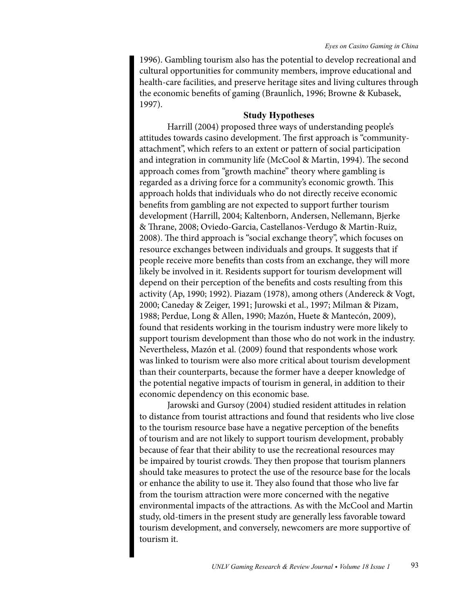1996). Gambling tourism also has the potential to develop recreational and cultural opportunities for community members, improve educational and health-care facilities, and preserve heritage sites and living cultures through the economic benefits of gaming (Braunlich, 1996; Browne & Kubasek, 1997).

## **Study Hypotheses**

Harrill (2004) proposed three ways of understanding people's attitudes towards casino development. The first approach is "communityattachment", which refers to an extent or pattern of social participation and integration in community life (McCool & Martin, 1994). The second approach comes from "growth machine" theory where gambling is regarded as a driving force for a community's economic growth. This approach holds that individuals who do not directly receive economic benefits from gambling are not expected to support further tourism development (Harrill, 2004; Kaltenborn, Andersen, Nellemann, Bjerke & Thrane, 2008; Oviedo-Garcia, Castellanos-Verdugo & Martin-Ruiz, 2008). The third approach is "social exchange theory", which focuses on resource exchanges between individuals and groups. It suggests that if people receive more benefits than costs from an exchange, they will more likely be involved in it. Residents support for tourism development will depend on their perception of the benefits and costs resulting from this activity (Ap, 1990; 1992). Piazam (1978), among others (Andereck & Vogt, 2000; Caneday & Zeiger, 1991; Jurowski et al., 1997; Milman & Pizam, 1988; Perdue, Long & Allen, 1990; Mazón, Huete & Mantecón, 2009), found that residents working in the tourism industry were more likely to support tourism development than those who do not work in the industry. Nevertheless, Mazón et al. (2009) found that respondents whose work was linked to tourism were also more critical about tourism development than their counterparts, because the former have a deeper knowledge of the potential negative impacts of tourism in general, in addition to their economic dependency on this economic base.

Jarowski and Gursoy (2004) studied resident attitudes in relation to distance from tourist attractions and found that residents who live close to the tourism resource base have a negative perception of the benefits of tourism and are not likely to support tourism development, probably because of fear that their ability to use the recreational resources may be impaired by tourist crowds. They then propose that tourism planners should take measures to protect the use of the resource base for the locals or enhance the ability to use it. They also found that those who live far from the tourism attraction were more concerned with the negative environmental impacts of the attractions. As with the McCool and Martin study, old-timers in the present study are generally less favorable toward tourism development, and conversely, newcomers are more supportive of tourism it.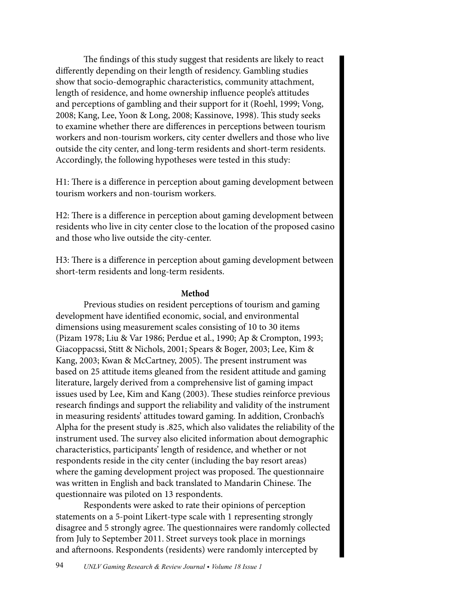The findings of this study suggest that residents are likely to react differently depending on their length of residency. Gambling studies show that socio-demographic characteristics, community attachment, length of residence, and home ownership influence people's attitudes and perceptions of gambling and their support for it (Roehl, 1999; Vong, 2008; Kang, Lee, Yoon & Long, 2008; Kassinove, 1998). This study seeks to examine whether there are differences in perceptions between tourism workers and non-tourism workers, city center dwellers and those who live outside the city center, and long-term residents and short-term residents. Accordingly, the following hypotheses were tested in this study:

H1: There is a difference in perception about gaming development between tourism workers and non-tourism workers.

H2: There is a difference in perception about gaming development between residents who live in city center close to the location of the proposed casino and those who live outside the city-center.

H3: There is a difference in perception about gaming development between short-term residents and long-term residents.

## **Method**

Previous studies on resident perceptions of tourism and gaming development have identified economic, social, and environmental dimensions using measurement scales consisting of 10 to 30 items (Pizam 1978; Liu & Var 1986; Perdue et al., 1990; Ap & Crompton, 1993; Giacoppacssi, Stitt & Nichols, 2001; Spears & Boger, 2003; Lee, Kim & Kang, 2003; Kwan & McCartney, 2005). The present instrument was based on 25 attitude items gleaned from the resident attitude and gaming literature, largely derived from a comprehensive list of gaming impact issues used by Lee, Kim and Kang (2003). These studies reinforce previous research findings and support the reliability and validity of the instrument in measuring residents' attitudes toward gaming. In addition, Cronbach's Alpha for the present study is .825, which also validates the reliability of the instrument used. The survey also elicited information about demographic characteristics, participants' length of residence, and whether or not respondents reside in the city center (including the bay resort areas) where the gaming development project was proposed. The questionnaire was written in English and back translated to Mandarin Chinese. The questionnaire was piloted on 13 respondents.

Respondents were asked to rate their opinions of perception statements on a 5-point Likert-type scale with 1 representing strongly disagree and 5 strongly agree. The questionnaires were randomly collected from July to September 2011. Street surveys took place in mornings and afternoons. Respondents (residents) were randomly intercepted by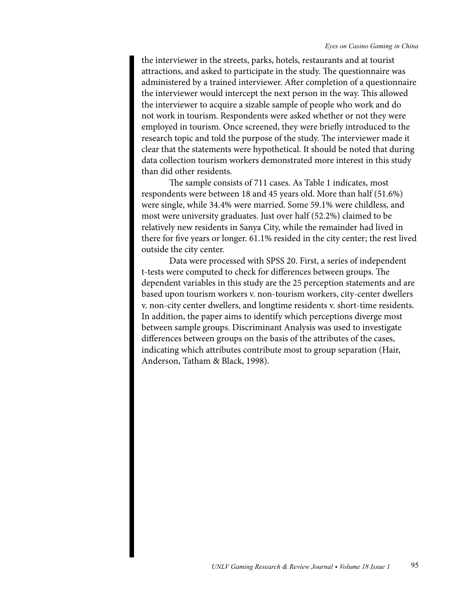the interviewer in the streets, parks, hotels, restaurants and at tourist attractions, and asked to participate in the study. The questionnaire was administered by a trained interviewer. After completion of a questionnaire the interviewer would intercept the next person in the way. This allowed the interviewer to acquire a sizable sample of people who work and do not work in tourism. Respondents were asked whether or not they were employed in tourism. Once screened, they were briefly introduced to the research topic and told the purpose of the study. The interviewer made it clear that the statements were hypothetical. It should be noted that during data collection tourism workers demonstrated more interest in this study than did other residents.

The sample consists of 711 cases. As Table 1 indicates, most respondents were between 18 and 45 years old. More than half (51.6%) were single, while 34.4% were married. Some 59.1% were childless, and most were university graduates. Just over half (52.2%) claimed to be relatively new residents in Sanya City, while the remainder had lived in there for five years or longer. 61.1% resided in the city center; the rest lived outside the city center.

Data were processed with SPSS 20. First, a series of independent t-tests were computed to check for differences between groups. The dependent variables in this study are the 25 perception statements and are based upon tourism workers v. non-tourism workers, city-center dwellers v. non-city center dwellers, and longtime residents v. short-time residents. In addition, the paper aims to identify which perceptions diverge most between sample groups. Discriminant Analysis was used to investigate differences between groups on the basis of the attributes of the cases, indicating which attributes contribute most to group separation (Hair, Anderson, Tatham & Black, 1998).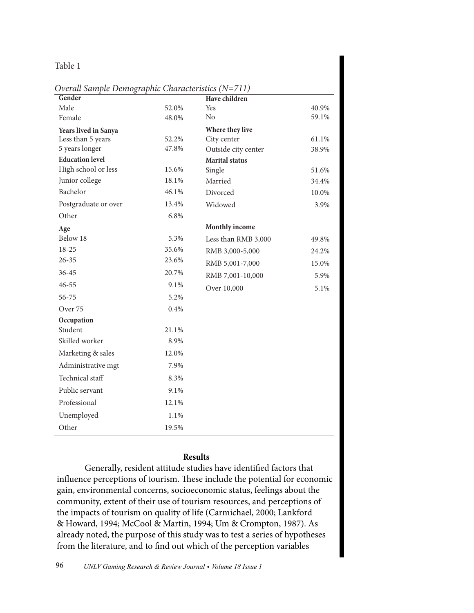# Table 1

| Overall Sample Demographic Characteristics (N=711) |  |
|----------------------------------------------------|--|
|----------------------------------------------------|--|

| Gender                 |       | Have children         |       |
|------------------------|-------|-----------------------|-------|
| Male                   | 52.0% | Yes                   | 40.9% |
| Female                 | 48.0% | N <sub>o</sub>        | 59.1% |
| Years lived in Sanya   |       | Where they live       |       |
| Less than 5 years      | 52.2% | City center           | 61.1% |
| 5 years longer         | 47.8% | Outside city center   | 38.9% |
| <b>Education level</b> |       | <b>Marital</b> status |       |
| High school or less    | 15.6% | Single                | 51.6% |
| Junior college         | 18.1% | Married               | 34.4% |
| Bachelor               | 46.1% | Divorced              | 10.0% |
| Postgraduate or over   | 13.4% | Widowed               | 3.9%  |
| Other                  | 6.8%  |                       |       |
| Age                    |       | Monthly income        |       |
| Below 18               | 5.3%  | Less than RMB 3,000   | 49.8% |
| 18-25                  | 35.6% | RMB 3,000-5,000       | 24.2% |
| $26 - 35$              | 23.6% | RMB 5,001-7,000       | 15.0% |
| 36-45                  | 20.7% | RMB 7,001-10,000      | 5.9%  |
| $46 - 55$              | 9.1%  | Over 10,000           | 5.1%  |
| 56-75                  | 5.2%  |                       |       |
| Over 75                | 0.4%  |                       |       |
| Occupation             |       |                       |       |
| Student                | 21.1% |                       |       |
| Skilled worker         | 8.9%  |                       |       |
| Marketing & sales      | 12.0% |                       |       |
| Administrative mgt     | 7.9%  |                       |       |
| Technical staff        | 8.3%  |                       |       |
| Public servant         | 9.1%  |                       |       |
| Professional           | 12.1% |                       |       |
| Unemployed             | 1.1%  |                       |       |
| Other                  | 19.5% |                       |       |

## **Results**

Generally, resident attitude studies have identified factors that influence perceptions of tourism. These include the potential for economic gain, environmental concerns, socioeconomic status, feelings about the community, extent of their use of tourism resources, and perceptions of the impacts of tourism on quality of life (Carmichael, 2000; Lankford & Howard, 1994; McCool & Martin, 1994; Um & Crompton, 1987). As already noted, the purpose of this study was to test a series of hypotheses from the literature, and to find out which of the perception variables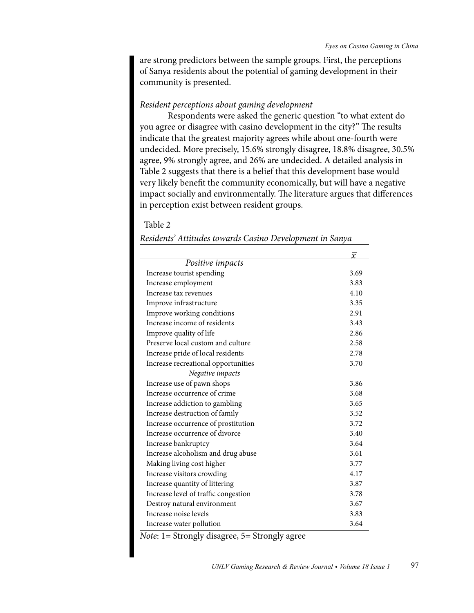are strong predictors between the sample groups. First, the perceptions of Sanya residents about the potential of gaming development in their community is presented.

## *Resident perceptions about gaming development*

Respondents were asked the generic question "to what extent do you agree or disagree with casino development in the city?" The results indicate that the greatest majority agrees while about one-fourth were undecided. More precisely, 15.6% strongly disagree, 18.8% disagree, 30.5% agree, 9% strongly agree, and 26% are undecided. A detailed analysis in Table 2 suggests that there is a belief that this development base would very likely benefit the community economically, but will have a negative impact socially and environmentally. The literature argues that differences in perception exist between resident groups.

#### Table 2

|                                      | $\overline{Y}$ |
|--------------------------------------|----------------|
| Positive impacts                     |                |
| Increase tourist spending            | 3.69           |
| Increase employment                  | 3.83           |
| Increase tax revenues                | 4.10           |
| Improve infrastructure               | 3.35           |
| Improve working conditions           | 2.91           |
| Increase income of residents         | 3.43           |
| Improve quality of life              | 2.86           |
| Preserve local custom and culture    | 2.58           |
| Increase pride of local residents    | 2.78           |
| Increase recreational opportunities  | 3.70           |
| Negative impacts                     |                |
| Increase use of pawn shops           | 3.86           |
| Increase occurrence of crime         | 3.68           |
| Increase addiction to gambling       | 3.65           |
| Increase destruction of family       | 3.52           |
| Increase occurrence of prostitution  | 3.72           |
| Increase occurrence of divorce       | 3.40           |
| Increase bankruptcy                  | 3.64           |
| Increase alcoholism and drug abuse   | 3.61           |
| Making living cost higher            | 3.77           |
| Increase visitors crowding           | 4.17           |
| Increase quantity of littering       | 3.87           |
| Increase level of traffic congestion | 3.78           |
| Destroy natural environment          | 3.67           |
| Increase noise levels                | 3.83           |
| Increase water pollution             | 3.64           |

*Residents' Attitudes towards Casino Development in Sanya*

*Note*: 1= Strongly disagree, 5= Strongly agree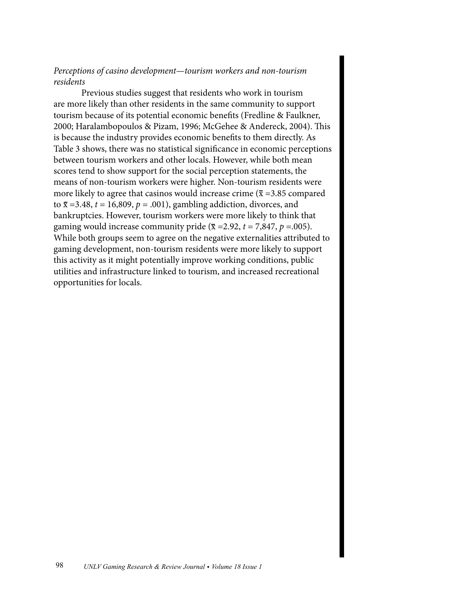# *Perceptions of casino development—tourism workers and non-tourism residents*

Previous studies suggest that residents who work in tourism are more likely than other residents in the same community to support tourism because of its potential economic benefits (Fredline & Faulkner, 2000; Haralambopoulos & Pizam, 1996; McGehee & Andereck, 2004). This is because the industry provides economic benefits to them directly. As Table 3 shows, there was no statistical significance in economic perceptions between tourism workers and other locals. However, while both mean scores tend to show support for the social perception statements, the means of non-tourism workers were higher. Non-tourism residents were more likely to agree that casinos would increase crime ( $\bar{x}$  =3.85 compared to  $\bar{x}$  =3.48,  $t$  = 16,809,  $p$  = .001), gambling addiction, divorces, and bankruptcies. However, tourism workers were more likely to think that gaming would increase community pride ( $\bar{x}$  =2.92,  $t$  = 7,847,  $p$  =.005). While both groups seem to agree on the negative externalities attributed to gaming development, non-tourism residents were more likely to support this activity as it might potentially improve working conditions, public utilities and infrastructure linked to tourism, and increased recreational opportunities for locals.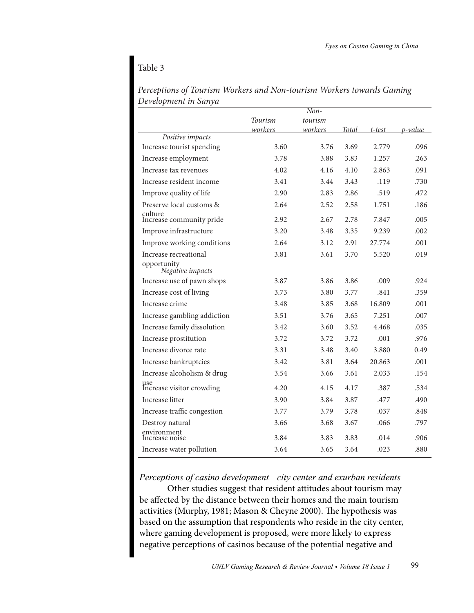# Table 3

| <i>r</i> evelopment in Sunya        |         | $Non-$  |       |           |         |
|-------------------------------------|---------|---------|-------|-----------|---------|
|                                     | Tourism | tourism |       |           |         |
|                                     | workers | workers | Total | $t$ -test | p-value |
| Positive impacts                    |         |         |       |           |         |
| Increase tourist spending           | 3.60    | 3.76    | 3.69  | 2.779     | .096    |
| Increase employment                 | 3.78    | 3.88    | 3.83  | 1.257     | .263    |
| Increase tax revenues               | 4.02    | 4.16    | 4.10  | 2.863     | .091    |
| Increase resident income            | 3.41    | 3.44    | 3.43  | .119      | .730    |
| Improve quality of life             | 2.90    | 2.83    | 2.86  | .519      | .472    |
| Preserve local customs &            | 2.64    | 2.52    | 2.58  | 1.751     | .186    |
| çulture<br>Increase community pride | 2.92    | 2.67    | 2.78  | 7.847     | .005    |
| Improve infrastructure              | 3.20    | 3.48    | 3.35  | 9.239     | .002    |
| Improve working conditions          | 2.64    | 3.12    | 2.91  | 27.774    | .001    |
| Increase recreational               | 3.81    | 3.61    | 3.70  | 5.520     | .019    |
| opportunity<br>Negative impacts     |         |         |       |           |         |
| Increase use of pawn shops          | 3.87    | 3.86    | 3.86  | .009      | .924    |
| Increase cost of living             | 3.73    | 3.80    | 3.77  | .841      | .359    |
| Increase crime                      | 3.48    | 3.85    | 3.68  | 16.809    | .001    |
| Increase gambling addiction         | 3.51    | 3.76    | 3.65  | 7.251     | .007    |
| Increase family dissolution         | 3.42    | 3.60    | 3.52  | 4.468     | .035    |
| Increase prostitution               | 3.72    | 3.72    | 3.72  | .001      | .976    |
| Increase divorce rate               | 3.31    | 3.48    | 3.40  | 3.880     | 0.49    |
| Increase bankruptcies               | 3.42    | 3.81    | 3.64  | 20.863    | .001    |
| Increase alcoholism & drug          | 3.54    | 3.66    | 3.61  | 2.033     | .154    |
| use<br>Increase visitor crowding    | 4.20    | 4.15    | 4.17  | .387      | .534    |
| Increase litter                     | 3.90    | 3.84    | 3.87  | .477      | .490    |
| Increase traffic congestion         | 3.77    | 3.79    | 3.78  | .037      | .848    |
| Destroy natural                     | 3.66    | 3.68    | 3.67  | .066      | .797    |
| environment<br>Increase noise       | 3.84    | 3.83    | 3.83  | .014      | .906    |
| Increase water pollution            | 3.64    | 3.65    | 3.64  | .023      | .880    |

*Perceptions of Tourism Workers and Non-tourism Workers towards Gaming Development in Sanya*

*Perceptions of casino development—city center and exurban residents*

Other studies suggest that resident attitudes about tourism may be affected by the distance between their homes and the main tourism activities (Murphy, 1981; Mason & Cheyne 2000). The hypothesis was based on the assumption that respondents who reside in the city center, where gaming development is proposed, were more likely to express negative perceptions of casinos because of the potential negative and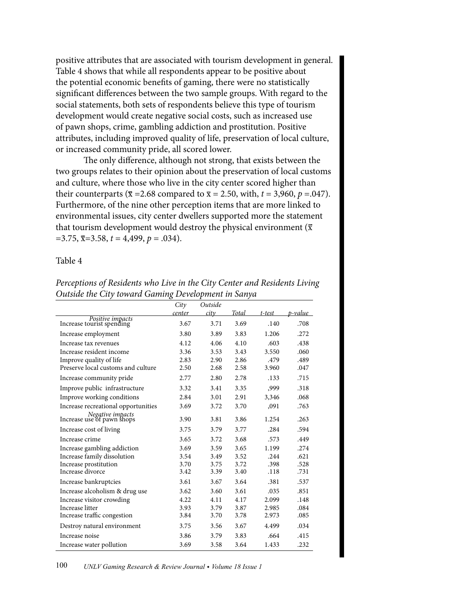positive attributes that are associated with tourism development in general. Table 4 shows that while all respondents appear to be positive about the potential economic benefits of gaming, there were no statistically significant differences between the two sample groups. With regard to the social statements, both sets of respondents believe this type of tourism development would create negative social costs, such as increased use of pawn shops, crime, gambling addiction and prostitution. Positive attributes, including improved quality of life, preservation of local culture, or increased community pride, all scored lower.

The only difference, although not strong, that exists between the two groups relates to their opinion about the preservation of local customs and culture, where those who live in the city center scored higher than their counterparts ( $\bar{x}$  = 2.68 compared to  $\bar{x}$  = 2.50, with, *t* = 3,960, *p* = .047). Furthermore, of the nine other perception items that are more linked to environmental issues, city center dwellers supported more the statement that tourism development would destroy the physical environment ( $\bar{x}$ )  $=$ 3.75,  $\overline{x}$ =3.58,  $t$  = 4,499,  $p$  = .034).

Table 4

|                                                | City   | Outside |       |        |         |
|------------------------------------------------|--------|---------|-------|--------|---------|
|                                                | center | city    | Total | t-test | p-value |
| Positive impacts<br>Increase tourist spending  | 3.67   | 3.71    | 3.69  | .140   | .708    |
| Increase employment                            | 3.80   | 3.89    | 3.83  | 1.206  | .272    |
| Increase tax revenues                          | 4.12   | 4.06    | 4.10  | .603   | .438    |
| Increase resident income                       | 3.36   | 3.53    | 3.43  | 3.550  | .060    |
| Improve quality of life                        | 2.83   | 2.90    | 2.86  | .479   | .489    |
| Preserve local customs and culture             | 2.50   | 2.68    | 2.58  | 3.960  | .047    |
| Increase community pride                       | 2.77   | 2.80    | 2.78  | .133   | .715    |
| Improve public infrastructure                  | 3.32   | 3.41    | 3.35  | .999   | .318    |
| Improve working conditions                     | 2.84   | 3.01    | 2.91  | 3,346  | .068    |
| Increase recreational opportunities            | 3.69   | 3.72    | 3.70  | ,091   | .763    |
| Negative impacts<br>Increase use of pawn shops | 3.90   | 3.81    | 3.86  | 1.254  | .263    |
| Increase cost of living                        | 3.75   | 3.79    | 3.77  | .284   | .594    |
| Increase crime                                 | 3.65   | 3.72    | 3.68  | .573   | .449    |
| Increase gambling addiction                    | 3.69   | 3.59    | 3.65  | 1.199  | .274    |
| Increase family dissolution                    | 3.54   | 3.49    | 3.52  | .244   | .621    |
| Increase prostitution                          | 3.70   | 3.75    | 3.72  | .398   | .528    |
| Increase divorce                               | 3.42   | 3.39    | 3.40  | .118   | .731    |
| Increase bankruptcies                          | 3.61   | 3.67    | 3.64  | .381   | .537    |
| Increase alcoholism & drug use                 | 3.62   | 3.60    | 3.61  | .035   | .851    |
| Increase visitor crowding                      | 4.22   | 4.11    | 4.17  | 2.099  | .148    |
| Increase litter                                | 3.93   | 3.79    | 3.87  | 2.985  | .084    |
| Increase traffic congestion                    | 3.84   | 3.70    | 3.78  | 2.973  | .085    |
| Destroy natural environment                    | 3.75   | 3.56    | 3.67  | 4.499  | .034    |
| Increase noise                                 | 3.86   | 3.79    | 3.83  | .664   | .415    |
| Increase water pollution                       | 3.69   | 3.58    | 3.64  | 1.433  | .232    |

# *Perceptions of Residents who Live in the City Center and Residents Living Outside the City toward Gaming Development in Sanya*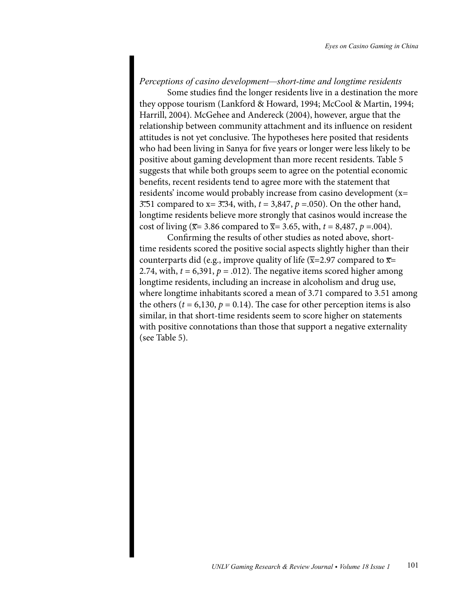## *Perceptions of casino development—short-time and longtime residents*

Some studies find the longer residents live in a destination the more they oppose tourism (Lankford & Howard, 1994; McCool & Martin, 1994; Harrill, 2004). McGehee and Andereck (2004), however, argue that the relationship between community attachment and its influence on resident attitudes is not yet conclusive. The hypotheses here posited that residents who had been living in Sanya for five years or longer were less likely to be positive about gaming development than more recent residents. Table 5 suggests that while both groups seem to agree on the potential economic benefits, recent residents tend to agree more with the statement that residents' income would probably increase from casino development (x= 3.51 compared to x= 3.34, with, *t* = 3,847, *p* =.050). On the other hand, longtime residents believe more strongly that casinos would increase the cost of living ( $\bar{x}$ = 3.86 compared to  $\bar{x}$ = 3.65, with, *t* = 8,487, *p* = 0.04).

Confirming the results of other studies as noted above, shorttime residents scored the positive social aspects slightly higher than their counterparts did (e.g., improve quality of life  $(\overline{x}=2.97$  compared to  $\overline{x}=$ 2.74, with,  $t = 6,391$ ,  $p = .012$ ). The negative items scored higher among longtime residents, including an increase in alcoholism and drug use, where longtime inhabitants scored a mean of 3.71 compared to 3.51 among the others ( $t = 6,130, p = 0.14$ ). The case for other perception items is also similar, in that short-time residents seem to score higher on statements with positive connotations than those that support a negative externality (see Table 5).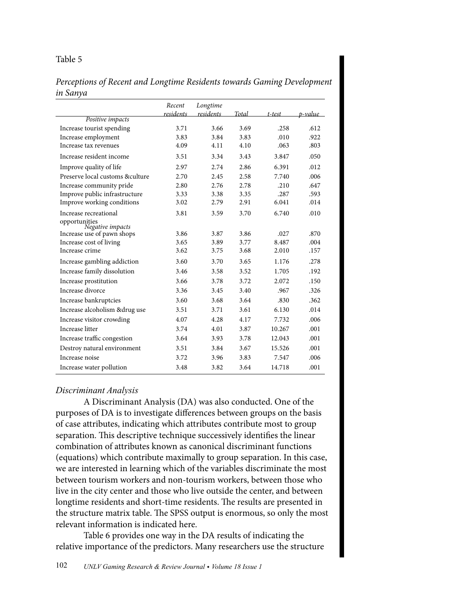# Table 5

# *Perceptions of Recent and Longtime Residents towards Gaming Development in Sanya*

|                                   | Recent    | Longtime  |       |        |         |
|-----------------------------------|-----------|-----------|-------|--------|---------|
| Positive impacts                  | residents | residents | Total | t-test | p-value |
| Increase tourist spending         | 3.71      | 3.66      | 3.69  | .258   | .612    |
| Increase employment               | 3.83      | 3.84      | 3.83  | .010   | .922    |
| Increase tax revenues             | 4.09      | 4.11      | 4.10  | .063   | .803    |
| Increase resident income          | 3.51      | 3.34      | 3.43  | 3.847  | .050    |
| Improve quality of life           | 2.97      | 2.74      | 2.86  | 6.391  | .012    |
| Preserve local customs & culture  | 2.70      | 2.45      | 2.58  | 7.740  | .006    |
| Increase community pride          | 2.80      | 2.76      | 2.78  | .210   | .647    |
| Improve public infrastructure     | 3.33      | 3.38      | 3.35  | .287   | .593    |
| Improve working conditions        | 3.02      | 2.79      | 2.91  | 6.041  | .014    |
| Increase recreational             | 3.81      | 3.59      | 3.70  | 6.740  | .010    |
| opportunities<br>Negative impacts |           |           |       |        |         |
| Increase use of pawn shops        | 3.86      | 3.87      | 3.86  | .027   | .870    |
| Increase cost of living           | 3.65      | 3.89      | 3.77  | 8.487  | .004    |
| Increase crime                    | 3.62      | 3.75      | 3.68  | 2.010  | .157    |
| Increase gambling addiction       | 3.60      | 3.70      | 3.65  | 1.176  | .278    |
| Increase family dissolution       | 3.46      | 3.58      | 3.52  | 1.705  | .192    |
| Increase prostitution             | 3.66      | 3.78      | 3.72  | 2.072  | .150    |
| Increase divorce                  | 3.36      | 3.45      | 3.40  | .967   | .326    |
| Increase bankruptcies             | 3.60      | 3.68      | 3.64  | .830   | .362    |
| Increase alcoholism & drug use    | 3.51      | 3.71      | 3.61  | 6.130  | .014    |
| Increase visitor crowding         | 4.07      | 4.28      | 4.17  | 7.732  | .006    |
| Increase litter                   | 3.74      | 4.01      | 3.87  | 10.267 | .001    |
| Increase traffic congestion       | 3.64      | 3.93      | 3.78  | 12.043 | .001    |
| Destroy natural environment       | 3.51      | 3.84      | 3.67  | 15.526 | .001    |
| Increase noise                    | 3.72      | 3.96      | 3.83  | 7.547  | .006    |
| Increase water pollution          | 3.48      | 3.82      | 3.64  | 14.718 | .001    |

## *Discriminant Analysis*

A Discriminant Analysis (DA) was also conducted. One of the purposes of DA is to investigate differences between groups on the basis of case attributes, indicating which attributes contribute most to group separation. This descriptive technique successively identifies the linear combination of attributes known as canonical discriminant functions (equations) which contribute maximally to group separation. In this case, we are interested in learning which of the variables discriminate the most between tourism workers and non-tourism workers, between those who live in the city center and those who live outside the center, and between longtime residents and short-time residents. The results are presented in the structure matrix table. The SPSS output is enormous, so only the most relevant information is indicated here.

Table 6 provides one way in the DA results of indicating the relative importance of the predictors. Many researchers use the structure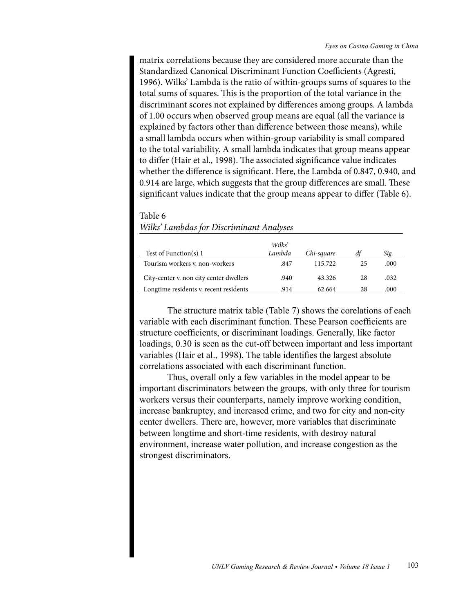matrix correlations because they are considered more accurate than the Standardized Canonical Discriminant Function Coefficients (Agresti, 1996). Wilks' Lambda is the ratio of within-groups sums of squares to the total sums of squares. This is the proportion of the total variance in the discriminant scores not explained by differences among groups. A lambda of 1.00 occurs when observed group means are equal (all the variance is explained by factors other than difference between those means), while a small lambda occurs when within-group variability is small compared to the total variability. A small lambda indicates that group means appear to differ (Hair et al., 1998). The associated significance value indicates whether the difference is significant. Here, the Lambda of 0.847, 0.940, and 0.914 are large, which suggests that the group differences are small. These significant values indicate that the group means appear to differ (Table 6).

## Table 6

| Test of Function(s) 1                   | Wilks'<br>Lambda | <u>Chi-square</u> |    | Sio. |
|-----------------------------------------|------------------|-------------------|----|------|
| Tourism workers v. non-workers          | .847             | 115.722           | 25 | .000 |
| City-center v. non city center dwellers | .940             | 43.326            | 28 | .032 |
| Longtime residents v. recent residents  | .914             | 62.664            | 28 | .000 |

## *Wilks' Lambdas for Discriminant Analyses*

The structure matrix table (Table 7) shows the corelations of each variable with each discriminant function. These Pearson coefficients are structure coefficients, or discriminant loadings. Generally, like factor loadings, 0.30 is seen as the cut-off between important and less important variables (Hair et al., 1998). The table identifies the largest absolute correlations associated with each discriminant function.

Thus, overall only a few variables in the model appear to be important discriminators between the groups, with only three for tourism workers versus their counterparts, namely improve working condition, increase bankruptcy, and increased crime, and two for city and non-city center dwellers. There are, however, more variables that discriminate between longtime and short-time residents, with destroy natural environment, increase water pollution, and increase congestion as the strongest discriminators.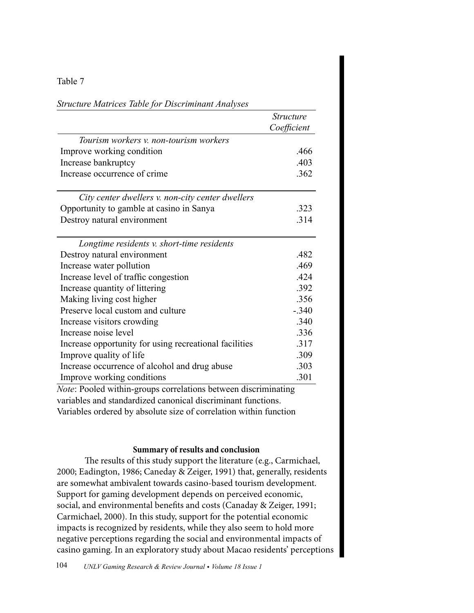# Table 7

| <b>Structure</b><br>Coefficient |
|---------------------------------|
|                                 |
|                                 |
| .466                            |
| .403                            |
| .362                            |
|                                 |
| .323                            |
| .314                            |
|                                 |
| .482                            |
| .469                            |
| .424                            |
| .392                            |
| .356                            |
| $-.340$                         |
| .340                            |
| .336                            |
| .317                            |
| .309                            |
| .303                            |
| .301                            |
|                                 |

*Structure Matrices Table for Discriminant Analyses*

*Note*: Pooled within-groups correlations between discriminating variables and standardized canonical discriminant functions. Variables ordered by absolute size of correlation within function

## **Summary of results and conclusion**

The results of this study support the literature (e.g., Carmichael, 2000; Eadington, 1986; Caneday & Zeiger, 1991) that, generally, residents are somewhat ambivalent towards casino-based tourism development. Support for gaming development depends on perceived economic, social, and environmental benefits and costs (Canaday & Zeiger, 1991; Carmichael, 2000). In this study, support for the potential economic impacts is recognized by residents, while they also seem to hold more negative perceptions regarding the social and environmental impacts of casino gaming. In an exploratory study about Macao residents' perceptions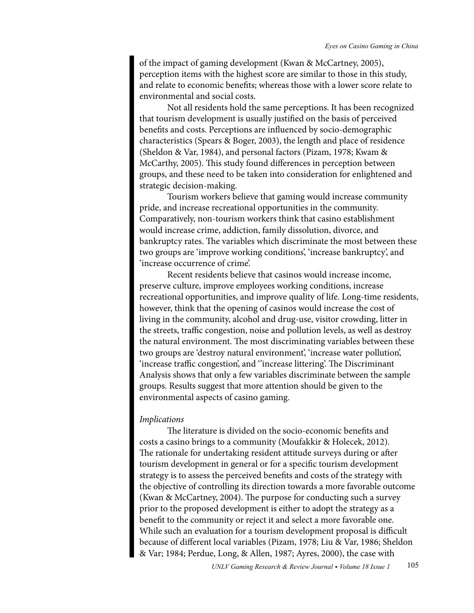of the impact of gaming development (Kwan & McCartney, 2005), perception items with the highest score are similar to those in this study, and relate to economic benefits; whereas those with a lower score relate to environmental and social costs.

Not all residents hold the same perceptions. It has been recognized that tourism development is usually justified on the basis of perceived benefits and costs. Perceptions are influenced by socio-demographic characteristics (Spears & Boger, 2003), the length and place of residence (Sheldon & Var, 1984), and personal factors (Pizam, 1978; Kwam & McCarthy, 2005). This study found differences in perception between groups, and these need to be taken into consideration for enlightened and strategic decision-making.

Tourism workers believe that gaming would increase community pride, and increase recreational opportunities in the community. Comparatively, non-tourism workers think that casino establishment would increase crime, addiction, family dissolution, divorce, and bankruptcy rates. The variables which discriminate the most between these two groups are 'improve working conditions', 'increase bankruptcy', and 'increase occurrence of crime'.

Recent residents believe that casinos would increase income, preserve culture, improve employees working conditions, increase recreational opportunities, and improve quality of life. Long-time residents, however, think that the opening of casinos would increase the cost of living in the community, alcohol and drug-use, visitor crowding, litter in the streets, traffic congestion, noise and pollution levels, as well as destroy the natural environment. The most discriminating variables between these two groups are 'destroy natural environment', 'increase water pollution', 'increase traffic congestion', and ''increase littering'. The Discriminant Analysis shows that only a few variables discriminate between the sample groups. Results suggest that more attention should be given to the environmental aspects of casino gaming.

## *Implications*

The literature is divided on the socio-economic benefits and costs a casino brings to a community (Moufakkir & Holecek, 2012). The rationale for undertaking resident attitude surveys during or after tourism development in general or for a specific tourism development strategy is to assess the perceived benefits and costs of the strategy with the objective of controlling its direction towards a more favorable outcome (Kwan & McCartney, 2004). The purpose for conducting such a survey prior to the proposed development is either to adopt the strategy as a benefit to the community or reject it and select a more favorable one. While such an evaluation for a tourism development proposal is difficult because of different local variables (Pizam, 1978; Liu & Var, 1986; Sheldon & Var; 1984; Perdue, Long, & Allen, 1987; Ayres, 2000), the case with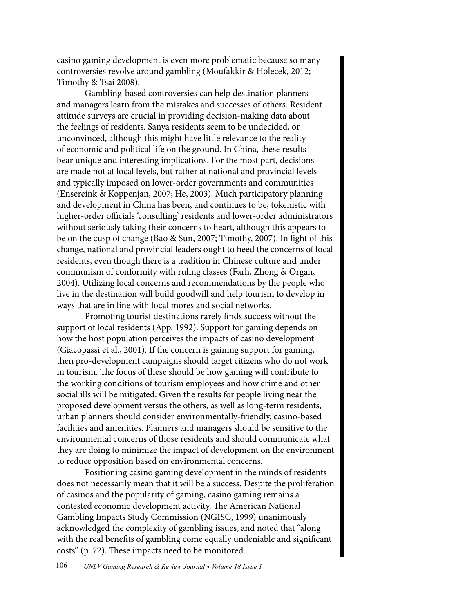casino gaming development is even more problematic because so many controversies revolve around gambling (Moufakkir & Holecek, 2012; Timothy & Tsai 2008).

Gambling-based controversies can help destination planners and managers learn from the mistakes and successes of others. Resident attitude surveys are crucial in providing decision-making data about the feelings of residents. Sanya residents seem to be undecided, or unconvinced, although this might have little relevance to the reality of economic and political life on the ground. In China, these results bear unique and interesting implications. For the most part, decisions are made not at local levels, but rather at national and provincial levels and typically imposed on lower-order governments and communities (Ensereink & Koppenjan, 2007; He, 2003). Much participatory planning and development in China has been, and continues to be, tokenistic with higher-order officials 'consulting' residents and lower-order administrators without seriously taking their concerns to heart, although this appears to be on the cusp of change (Bao & Sun, 2007; Timothy, 2007). In light of this change, national and provincial leaders ought to heed the concerns of local residents, even though there is a tradition in Chinese culture and under communism of conformity with ruling classes (Farh, Zhong & Organ, 2004). Utilizing local concerns and recommendations by the people who live in the destination will build goodwill and help tourism to develop in ways that are in line with local mores and social networks.

Promoting tourist destinations rarely finds success without the support of local residents (App, 1992). Support for gaming depends on how the host population perceives the impacts of casino development (Giacopassi et al., 2001). If the concern is gaining support for gaming, then pro-development campaigns should target citizens who do not work in tourism. The focus of these should be how gaming will contribute to the working conditions of tourism employees and how crime and other social ills will be mitigated. Given the results for people living near the proposed development versus the others, as well as long-term residents, urban planners should consider environmentally-friendly, casino-based facilities and amenities. Planners and managers should be sensitive to the environmental concerns of those residents and should communicate what they are doing to minimize the impact of development on the environment to reduce opposition based on environmental concerns.

Positioning casino gaming development in the minds of residents does not necessarily mean that it will be a success. Despite the proliferation of casinos and the popularity of gaming, casino gaming remains a contested economic development activity. The American National Gambling Impacts Study Commission (NGISC, 1999) unanimously acknowledged the complexity of gambling issues, and noted that "along with the real benefits of gambling come equally undeniable and significant costs" (p. 72). These impacts need to be monitored.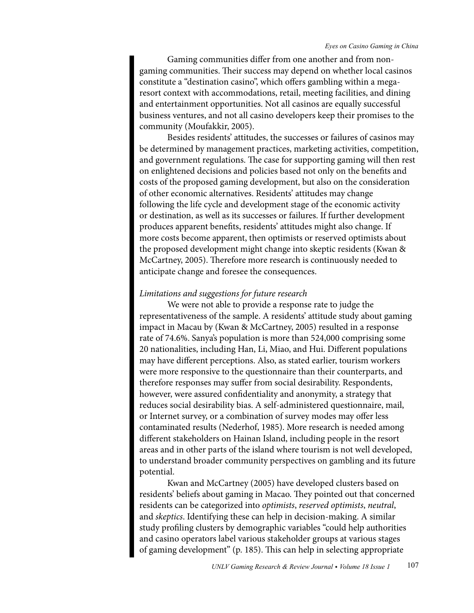Gaming communities differ from one another and from nongaming communities. Their success may depend on whether local casinos constitute a "destination casino", which offers gambling within a megaresort context with accommodations, retail, meeting facilities, and dining and entertainment opportunities. Not all casinos are equally successful business ventures, and not all casino developers keep their promises to the community (Moufakkir, 2005).

Besides residents' attitudes, the successes or failures of casinos may be determined by management practices, marketing activities, competition, and government regulations. The case for supporting gaming will then rest on enlightened decisions and policies based not only on the benefits and costs of the proposed gaming development, but also on the consideration of other economic alternatives. Residents' attitudes may change following the life cycle and development stage of the economic activity or destination, as well as its successes or failures. If further development produces apparent benefits, residents' attitudes might also change. If more costs become apparent, then optimists or reserved optimists about the proposed development might change into skeptic residents (Kwan & McCartney, 2005). Therefore more research is continuously needed to anticipate change and foresee the consequences.

## *Limitations and suggestions for future research*

We were not able to provide a response rate to judge the representativeness of the sample. A residents' attitude study about gaming impact in Macau by (Kwan & McCartney, 2005) resulted in a response rate of 74.6%. Sanya's population is more than 524,000 comprising some 20 nationalities, including Han, Li, Miao, and Hui. Different populations may have different perceptions. Also, as stated earlier, tourism workers were more responsive to the questionnaire than their counterparts, and therefore responses may suffer from social desirability. Respondents, however, were assured confidentiality and anonymity, a strategy that reduces social desirability bias. A self-administered questionnaire, mail, or Internet survey, or a combination of survey modes may offer less contaminated results (Nederhof, 1985). More research is needed among different stakeholders on Hainan Island, including people in the resort areas and in other parts of the island where tourism is not well developed, to understand broader community perspectives on gambling and its future potential.

Kwan and McCartney (2005) have developed clusters based on residents' beliefs about gaming in Macao. They pointed out that concerned residents can be categorized into *optimists*, *reserved optimists*, *neutral*, and *skeptics*. Identifying these can help in decision-making. A similar study profiling clusters by demographic variables "could help authorities and casino operators label various stakeholder groups at various stages of gaming development" (p. 185). This can help in selecting appropriate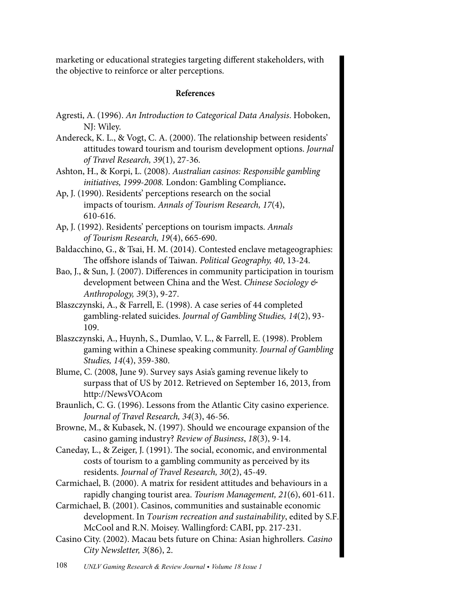marketing or educational strategies targeting different stakeholders, with the objective to reinforce or alter perceptions.

# **References**

- Agresti, A. (1996). *An Introduction to Categorical Data Analysis*. Hoboken, NJ: Wiley.
- Andereck, K. L., & Vogt, C. A. (2000). The relationship between residents' attitudes toward tourism and tourism development options. *Journal of Travel Research, 39*(1), 27-36.
- Ashton, H., & Korpi, L. (2008). *Australian casinos: Responsible gambling initiatives, 1999-2008.* London: Gambling Compliance**.**
- Ap, J. (1990). Residents' perceptions research on the social impacts of tourism. *Annals of Tourism Research, 17*(4), 610-616.
- Ap, J. (1992). Residents' perceptions on tourism impacts. *Annals of Tourism Research, 19*(4), 665-690.
- Baldacchino, G., & Tsai, H. M. (2014). Contested enclave metageographies: The offshore islands of Taiwan. *Political Geography, 40*, 13-24.
- Bao, J., & Sun, J. (2007). Differences in community participation in tourism development between China and the West. *Chinese Sociology & Anthropology, 39*(3), 9-27.
- Blaszczynski, A., & Farrell, E. (1998). A case series of 44 completed gambling-related suicides. *Journal of Gambling Studies, 14*(2), 93- 109.
- Blaszczynski, A., Huynh, S., Dumlao, V. L., & Farrell, E. (1998). Problem gaming within a Chinese speaking community. *Journal of Gambling Studies, 14*(4), 359-380.
- Blume, C. (2008, June 9). Survey says Asia's gaming revenue likely to surpass that of US by 2012. Retrieved on September 16, 2013, from http://NewsVOAcom
- Braunlich, C. G. (1996). Lessons from the Atlantic City casino experience. *Journal of Travel Research, 34*(3), 46-56.
- Browne, M., & Kubasek, N. (1997). Should we encourage expansion of the casino gaming industry? *Review of Business*, *18*(3), 9-14.
- Caneday, L., & Zeiger, J. (1991). The social, economic, and environmental costs of tourism to a gambling community as perceived by its residents. *Journal of Travel Research, 30*(2), 45-49.
- Carmichael, B. (2000). A matrix for resident attitudes and behaviours in a rapidly changing tourist area. *Tourism Management, 21*(6), 601-611.
- Carmichael, B. (2001). Casinos, communities and sustainable economic development. In *Tourism recreation and sustainability*, edited by S.F. McCool and R.N. Moisey. Wallingford: CABI, pp. 217-231.
- Casino City. (2002). Macau bets future on China: Asian highrollers*. Casino City Newsletter, 3*(86), 2.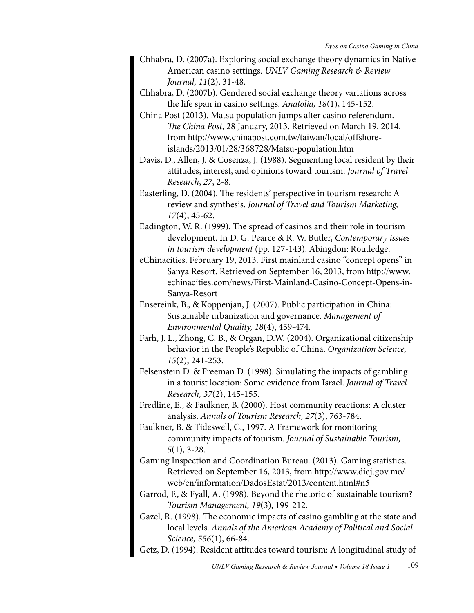- Chhabra, D. (2007a). Exploring social exchange theory dynamics in Native American casino settings. *UNLV Gaming Research & Review Journal, 11*(2), 31-48.
- Chhabra, D. (2007b). Gendered social exchange theory variations across the life span in casino settings. *Anatolia, 18*(1), 145-152.
- China Post (2013). Matsu population jumps after casino referendum. *The China Post*, 28 January, 2013. Retrieved on March 19, 2014, from http://www.chinapost.com.tw/taiwan/local/offshoreislands/2013/01/28/368728/Matsu-population.htm
- Davis, D., Allen, J. & Cosenza, J. (1988). Segmenting local resident by their attitudes, interest, and opinions toward tourism. *Journal of Travel Research*, *27*, 2-8.
- Easterling, D. (2004). The residents' perspective in tourism research: A review and synthesis. *Journal of Travel and Tourism Marketing, 17*(4), 45-62.
- Eadington, W. R. (1999). The spread of casinos and their role in tourism development. In D. G. Pearce & R. W. Butler, *Contemporary issues in tourism development* (pp. 127-143). Abingdon: Routledge.
- eChinacities. February 19, 2013. First mainland casino "concept opens" in Sanya Resort. Retrieved on September 16, 2013, from [http://www.](http://www.echinacities.com/news/First-Mainland-Casino-Concept-Opens-in-Sanya-Resort) [echinacities.com/news/First-Mainland-Casino-Concept-Opens-in-](http://www.echinacities.com/news/First-Mainland-Casino-Concept-Opens-in-Sanya-Resort)[Sanya-Resort](http://www.echinacities.com/news/First-Mainland-Casino-Concept-Opens-in-Sanya-Resort)
- Ensereink, B., & Koppenjan, J. (2007). Public participation in China: Sustainable urbanization and governance. *Management of Environmental Quality, 18*(4), 459-474.
- Farh, J. L., Zhong, C. B., & Organ, D.W. (2004). Organizational citizenship behavior in the People's Republic of China. *Organization Science, 15*(2), 241-253.
- Felsenstein D. & Freeman D. (1998). Simulating the impacts of gambling in a tourist location: Some evidence from Israel. *Journal of Travel Research, 37*(2), 145-155.
- Fredline, E., & Faulkner, B. (2000). Host community reactions: A cluster analysis. *Annals of Tourism Research, 27*(3), 763-784.
- Faulkner, B. & Tideswell, C., 1997. A Framework for monitoring community impacts of tourism. *Journal of Sustainable Tourism, 5*(1), 3-28.
- Gaming Inspection and Coordination Bureau. (2013). Gaming statistics. Retrieved on September 16, 2013, from [http://www.dicj.gov.mo/](http://www.dicj.gov.mo/web/en/information/DadosEstat/2013/content.html#n5) [web/en/information/DadosEstat/2013/content.html#n5](http://www.dicj.gov.mo/web/en/information/DadosEstat/2013/content.html#n5)
- Garrod, F., & Fyall, A. (1998). Beyond the rhetoric of sustainable tourism? *Tourism Management, 19*(3), 199-212.
- Gazel, R. (1998). The economic impacts of casino gambling at the state and local levels. *Annals of the American Academy of Political and Social Science, 556*(1), 66-84.
- Getz, D. (1994). Resident attitudes toward tourism: A longitudinal study of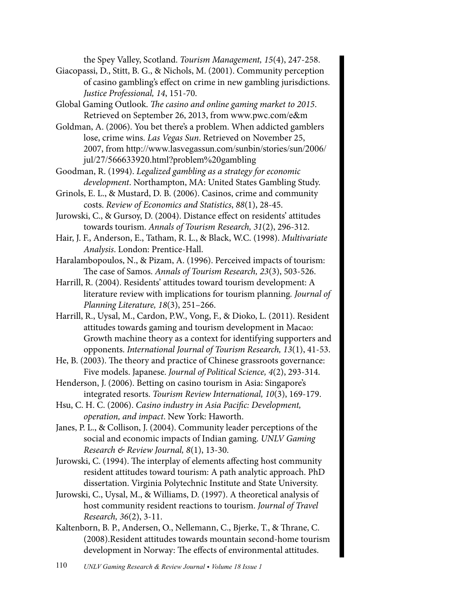the Spey Valley, Scotland. *Tourism Management, 15*(4), 247-258.

Giacopassi, D., Stitt, B. G., & Nichols, M. (2001). Community perception of casino gambling's effect on crime in new gambling jurisdictions. *Justice Professional, 14*, 151-70.

Global Gaming Outlook. *The casino and online gaming market to 2015*. Retrieved on September 26, 2013, from [www.pwc.com/e&m](http://www.pwc.com/e&m)

Goldman, A. (2006). You bet there's a problem. When addicted gamblers lose, crime wins. *Las Vegas Sun*. Retrieved on November 25, 2007, from [http://www.lasvegassun.com/sunbin/stories/sun/2006/](http://www.lasvegassun.com/sunbin/stories/sun/2006/jul/27/566633920.html?problem gambling) [jul/27/566633920.html?problem%20gambling](http://www.lasvegassun.com/sunbin/stories/sun/2006/jul/27/566633920.html?problem gambling)

Goodman, R. (1994). *Legalized gambling as a strategy for economic development*. Northampton, MA: United States Gambling Study.

Grinols, E. L., & Mustard, D. B. (2006). Casinos, crime and community costs. *Review of Economics and Statistics*, *88*(1), 28-45.

Jurowski, C., & Gursoy, D. (2004). Distance effect on residents' attitudes towards tourism. *Annals of Tourism Research, 31*(2), 296-312.

Hair, J. F., Anderson, E., Tatham, R. L., & Black, W.C. (1998). *Multivariate Analysis*. London: Prentice-Hall.

Haralambopoulos, N., & Pizam, A. (1996). Perceived impacts of tourism: The case of Samos. *Annals of Tourism Research, 23*(3), 503-526.

Harrill, R. (2004). Residents' attitudes toward tourism development: A literature review with implications for tourism planning*. Journal of Planning Literature, 18*(3), 251–266.

Harrill, R., Uysal, M., Cardon, P.W., Vong, F., & Dioko, L. (2011). Resident attitudes towards gaming and tourism development in Macao: Growth machine theory as a context for identifying supporters and opponents. *International Journal of Tourism Research, 13*(1), 41-53.

He, B. (2003). The theory and practice of Chinese grassroots governance: Five models. Japanese. *Journal of Political Science, 4*(2), 293-314.

Henderson, J. (2006). Betting on casino tourism in Asia: Singapore's integrated resorts. *Tourism Review International, 10*(3), 169-179.

Hsu, C. H. C. (2006). *Casino industry in Asia Pacific: Development, operation, and impact*. New York: Haworth.

Janes, P. L., & Collison, J. (2004). Community leader perceptions of the social and economic impacts of Indian gaming. *UNLV Gaming Research & Review Journal, 8*(1), 13-30.

Jurowski, C. (1994). The interplay of elements affecting host community resident attitudes toward tourism: A path analytic approach. PhD dissertation. Virginia Polytechnic Institute and State University.

Jurowski, C., Uysal, M., & Williams, D. (1997). A theoretical analysis of host community resident reactions to tourism. *Journal of Travel Research, 36*(2), 3-11.

Kaltenborn, B. P., Andersen, O., Nellemann, C., Bjerke, T., & Thrane, C. (2008).Resident attitudes towards mountain second-home tourism development in Norway: The effects of environmental attitudes.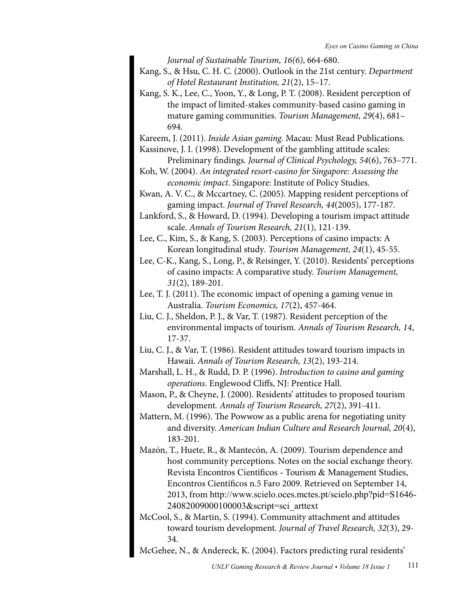*Journal of Sustainable Tourism, 16(6)*, 664-680.

- Kang, S., & Hsu, C. H. C. (2000). Outlook in the 21st century. *Department of Hotel Restaurant Institution, 21*(2), 15–17.
- Kang, S. K., Lee, C., Yoon, Y., & Long, P. T. (2008). Resident perception of the impact of limited-stakes community-based casino gaming in mature gaming communities. *Tourism Management, 29*(4), 681– 694.

Kareem, J. (2011). *Inside Asian gaming.* Macau: Must Read Publications.

- Kassinove, J. I. (1998). Development of the gambling attitude scales: Preliminary findings*. Journal of Clinical Psychology, 54*(6), 763–771.
- Koh, W. (2004). *An integrated resort-casino for Singapore: Assessing the economic impact*. Singapore: Institute of Policy Studies.
- Kwan, A. V. C., & Mccartney, C. (2005). Mapping resident perceptions of gaming impact. *Journal of Travel Research, 44*(2005), 177-187.

Lankford, S., & Howard, D. (1994). Developing a tourism impact attitude scale. *Annals of Tourism Research, 21*(1), 121-139.

Lee, C., Kim, S., & Kang, S. (2003). Perceptions of casino impacts: A Korean longitudinal study*. Tourism Management, 24*(1), 45-55.

- Lee, C-K., Kang, S., Long, P., & Reisinger, Y. (2010). Residents' perceptions of casino impacts: A comparative study. *Tourism Management, 31*(2), 189-201.
- Lee, T. J. (2011). The economic impact of opening a gaming venue in Australia. *Tourism Economics, 17*(2), 457-464.
- Liu, C. J., Sheldon, P. J., & Var, T. (1987). Resident perception of the environmental impacts of tourism. *Annals of Tourism Research, 14*, 17-37.
- Liu, C. J., & Var, T. (1986). Resident attitudes toward tourism impacts in Hawaii. *Annals of Tourism Research, 13*(2), 193-214.
- Marshall, L. H., & Rudd, D. P. (1996). *Introduction to casino and gaming operations*. Englewood Cliffs, NJ: Prentice Hall.
- Mason, P., & Cheyne, J. (2000). Residents' attitudes to proposed tourism development*. Annals of Tourism Research, 27*(2), 391-411.
- Mattern, M. (1996). The Powwow as a public arena for negotiating unity and diversity. *American Indian Culture and Research Journal, 20*(4), 183-201.
- Mazón, T., Huete, R., & Mantecón, A. (2009). Tourism dependence and host community perceptions. Notes on the social exchange theory. [Revista Encontros Científicos - Tourism & Management Studies](http://www.scielo.gpeari.mctes.pt/scielo.php?script=sci_serial&pid=1646-2408&lng=pt&nrm=iso), Encontros Científicos n.5 Faro 2009. Retrieved on September 14, 2013, from [http://www.scielo.oces.mctes.pt/scielo.php?pid=S1646-](http://www.scielo.oces.mctes.pt/scielo.php?pid=S1646-24082009000100003&script=sci_arttext) [24082009000100003&script=sci\\_arttext](http://www.scielo.oces.mctes.pt/scielo.php?pid=S1646-24082009000100003&script=sci_arttext)
- McCool, S., & Martin, S. (1994). Community attachment and attitudes toward tourism development. *Journal of Travel Research, 32*(3), 29- 34.
- McGehee, N., & Andereck, K. (2004). Factors predicting rural residents'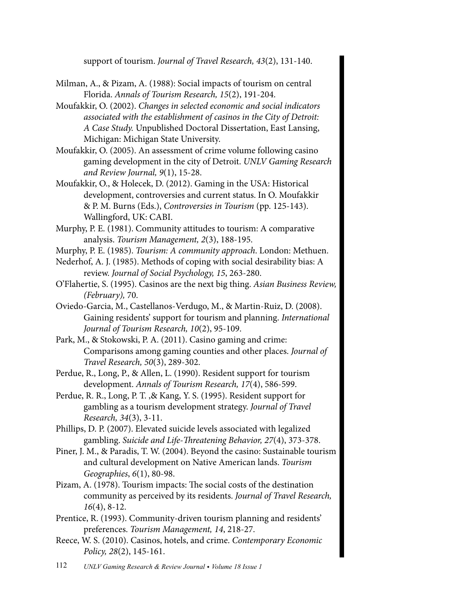support of tourism. *Journal of Travel Research, 43*(2), 131-140.

- Milman, A., & Pizam, A. (1988): Social impacts of tourism on central Florida. *Annals of Tourism Research, 15*(2), 191-204.
- Moufakkir, O. (2002). *Changes in selected economic and social indicators associated with the establishment of casinos in the City of Detroit: A Case Study.* Unpublished Doctoral Dissertation, East Lansing, Michigan: Michigan State University.
- Moufakkir, O. (2005). An assessment of crime volume following casino gaming development in the city of Detroit. *UNLV Gaming Research and Review Journal, 9*(1), 15-28.
- Moufakkir, O., & Holecek, D. (2012). Gaming in the USA: Historical development, controversies and current status. In O. Moufakkir & P. M. Burns (Eds.), *Controversies in Tourism* (pp. 125-143). Wallingford, UK: CABI.
- Murphy, P. E. (1981). Community attitudes to tourism: A comparative analysis. *Tourism Management, 2*(3), 188-195.
- Murphy, P. E. (1985). *Tourism: A community approach*. London: Methuen.
- Nederhof, A. J. (1985). Methods of coping with social desirability bias: A review. *Journal of Social Psychology, 15*, 263-280.
- O'Flahertie, S. (1995). Casinos are the next big thing. *Asian Business Review, (February),* 70.
- Oviedo-Garcia, M., Castellanos-Verdugo, M., & Martin-Ruiz, D. (2008). Gaining residents' support for tourism and planning. *International Journal of Tourism Research, 10*(2), 95-109.
- Park, M., & Stokowski, P. A. (2011). Casino gaming and crime: Comparisons among gaming counties and other places. *Journal of Travel Research, 50*(3), 289-302.
- Perdue, R., Long, P., & Allen, L. (1990). Resident support for tourism development. *Annals of Tourism Research, 17*(4), 586-599.
- Perdue, R. R., Long, P. T. ,& Kang, Y. S. (1995). Resident support for gambling as a tourism development strategy. *Journal of Travel Research, 34*(3), 3-11.
- Phillips, D. P. (2007). Elevated suicide levels associated with legalized gambling. *Suicide and Life-Threatening Behavior, 27*(4), 373-378.
- Piner, J. M., & Paradis, T. W. (2004). Beyond the casino: Sustainable tourism and cultural development on Native American lands. *Tourism Geographies*, *6*(1), 80-98.
- Pizam, A. (1978). Tourism impacts: The social costs of the destination community as perceived by its residents. *Journal of Travel Research, 16*(4), 8-12.
- Prentice, R. (1993). Community-driven tourism planning and residents' preferences. *Tourism Management, 14*, 218-27.
- Reece, W. S. (2010). Casinos, hotels, and crime. *Contemporary Economic Policy, 28*(2), 145-161.
- 112 *UNLV Gaming Research & Review Journal Volume 18 Issue 1*